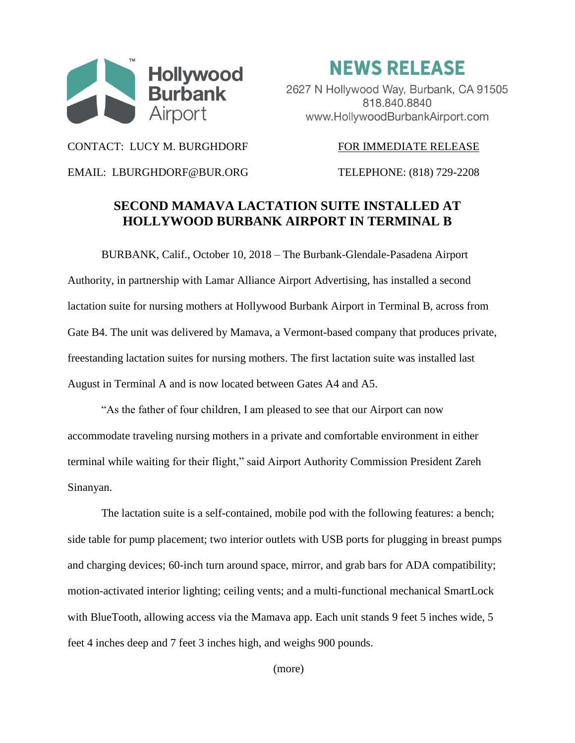

**NEWS RELEASE** 

2627 N Hollywood Way, Burbank, CA 91505 818.840.8840 www.HollywoodBurbankAirport.com

CONTACT: LUCY M. BURGHDORF FOR IMMEDIATE RELEASE

EMAIL: LBURGHDORF@BUR.ORG TELEPHONE: (818) 729-2208

## **SECOND MAMAVA LACTATION SUITE INSTALLED AT HOLLYWOOD BURBANK AIRPORT IN TERMINAL B**

BURBANK, Calif., October 10, 2018 – The Burbank-Glendale-Pasadena Airport Authority, in partnership with Lamar Alliance Airport Advertising, has installed a second lactation suite for nursing mothers at Hollywood Burbank Airport in Terminal B, across from Gate B4. The unit was delivered by Mamava, a Vermont-based company that produces private, freestanding lactation suites for nursing mothers. The first lactation suite was installed last August in Terminal A and is now located between Gates A4 and A5.

"As the father of four children, I am pleased to see that our Airport can now accommodate traveling nursing mothers in a private and comfortable environment in either terminal while waiting for their flight," said Airport Authority Commission President Zareh Sinanyan.

The lactation suite is a self-contained, mobile pod with the following features: a bench; side table for pump placement; two interior outlets with USB ports for plugging in breast pumps and charging devices; 60-inch turn around space, mirror, and grab bars for ADA compatibility; motion-activated interior lighting; ceiling vents; and a multi-functional mechanical SmartLock with BlueTooth, allowing access via the Mamava app. Each unit stands 9 feet 5 inches wide, 5 feet 4 inches deep and 7 feet 3 inches high, and weighs 900 pounds.

(more)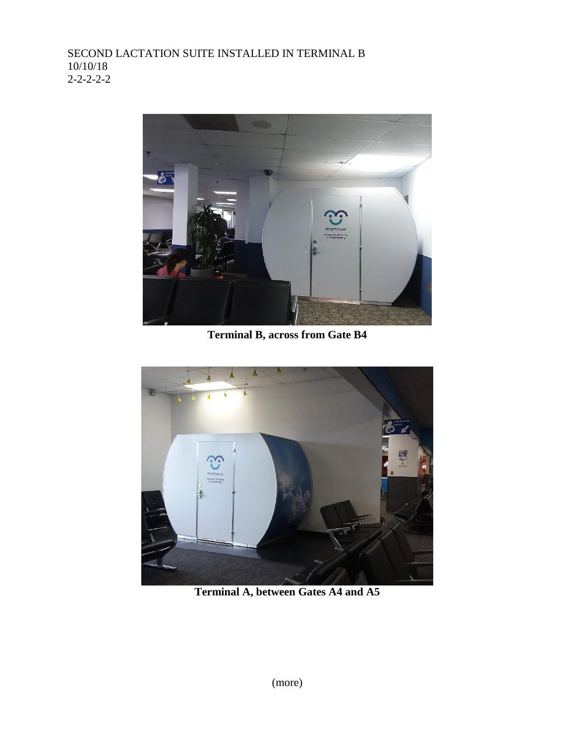

**Terminal B, across from Gate B4**



**Terminal A, between Gates A4 and A5**